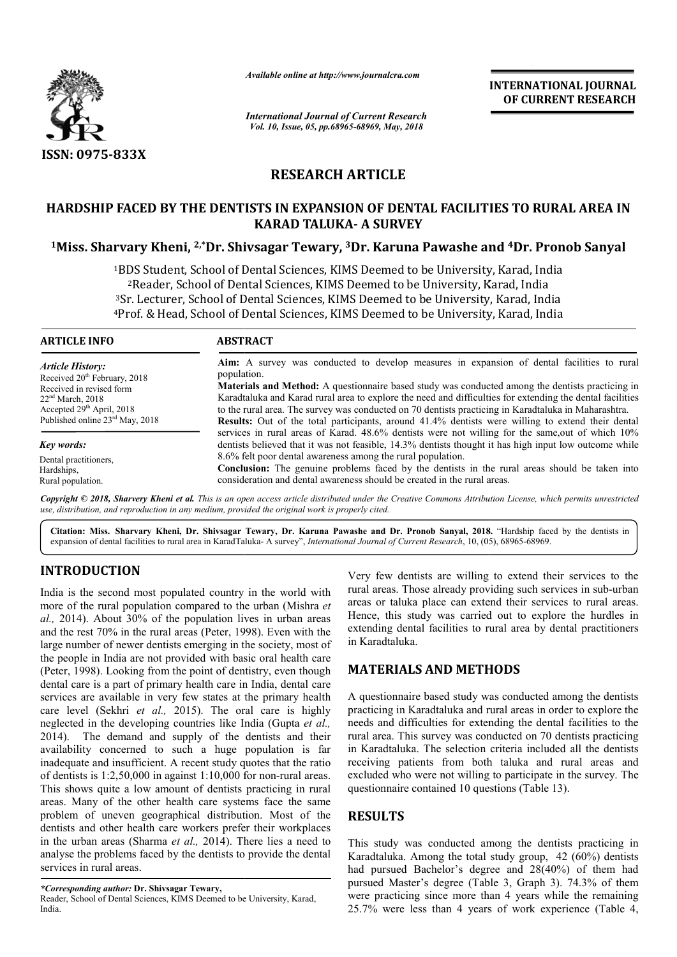

*Available online at http://www.journalcra.com*

*International Journal of Current Research Vol. 10, Issue, 05, pp.68965-68969, May, 2018*

**INTERNATIONAL JOURNAL OF CURRENT RESEARCH**

# **RESEARCH ARTICLE**

## **HARDSHIP FACED BY THE DENTISTS IN EXPANSION OF DENTAL FACILITIES TO RURAL AREA IN KARAD TALUKA- A SURVEY**

**1Miss. Sharvary Kheni, 2,\*Dr. Shivsagar Tewary, Dr. 3Dr. Karuna Pawashe and 4Dr. Pronob Sanyal**

1BDS Student, School of Dental Sciences, KIMS Deemed to be University, Karad, India 2Reader, School of Dental Sciences, KIMS Deemed to be University, Karad, India <sup>3</sup>Sr. Lecturer, School of Dental Sciences, KIMS Deemed to be University, Karad, India <sup>1</sup>BDS Student, School of Dental Sciences, KIMS Deemed to be University, Karad, India<br><sup>2</sup>Reader, School of Dental Sciences, KIMS Deemed to be University, Karad, India<br><sup>3</sup>Sr. Lecturer, School of Dental Sciences, KIMS Deemed BDS Student, School of Dental Sciences, KIMS Deemed to be University, Karad, India<br><sup>2</sup>Reader, School of Dental Sciences, KIMS Deemed to be University, Karad, India<br>Sr. Lecturer, School of Dental Sciences, KIMS Deemed to be

| <b>ARTICLE INFO</b>                                                  | <b>ABSTRACT</b>                                                                                                                                                                                                                                                                                                                                                            |
|----------------------------------------------------------------------|----------------------------------------------------------------------------------------------------------------------------------------------------------------------------------------------------------------------------------------------------------------------------------------------------------------------------------------------------------------------------|
| <b>Article History:</b>                                              | Aim: A survey was conducted to develop measures in expansion of dental facilities to rural                                                                                                                                                                                                                                                                                 |
| Received 20 <sup>th</sup> February, 2018<br>Received in revised form | population.<br><b>Materials and Method:</b> A questionnaire based study was conducted among the dentists practicing in                                                                                                                                                                                                                                                     |
| $22nd$ March, 2018<br>Accepted 29 <sup>th</sup> April, 2018          | Karadtaluka and Karad rural area to explore the need and difficulties for extending the dental facilities<br>to the rural area. The survey was conducted on 70 dentists practicing in Karadtaluka in Maharashtra.                                                                                                                                                          |
| Published online 23rd May, 2018                                      | <b>Results:</b> Out of the total participants, around 41.4% dentists were willing to extend their dental                                                                                                                                                                                                                                                                   |
| Key words:                                                           | services in rural areas of Karad. 48.6% dentists were not willing for the same, out of which 10%<br>dentists believed that it was not feasible, 14.3% dentists thought it has high input low outcome while                                                                                                                                                                 |
| Dental practitioners.                                                | 8.6% felt poor dental awareness among the rural population.                                                                                                                                                                                                                                                                                                                |
| Hardships,                                                           |                                                                                                                                                                                                                                                                                                                                                                            |
| Rural population.                                                    | consideration and dental awareness should be created in the rural areas.                                                                                                                                                                                                                                                                                                   |
|                                                                      | <b>Conclusion:</b> The genuine problems faced by the dentists in the rural areas should be taken into<br>Copyright © 2018, Sharvery Kheni et al. This is an open access article distributed under the Creative Commons Attribution License, which permits unrestricted<br>use, distribution, and reproduction in any medium, provided the original work is properly cited. |

Citation: Miss. Sharvary Kheni, Dr. Shivsagar Tewary, Dr. Karuna Pawashe and Dr. Pronob Sanyal, 2018. "Hardship faced by the dentists in expansion of dental facilities to rural area in KaradTaluka-A survey", *International Journal of Current Research*, 10, (05), 68965-68969.

## **INTRODUCTION**

India is the second most populated country in the world with more of the rural population compared to the urban ( (Mishra *et al.,* 2014). About 30% of the population lives in urban areas al., 2014). About 30% of the population lives in urban areas and the rest  $70\%$  in the rural areas (Peter, 1998). Even with the large number of newer dentists emerging in the society, most of the people in India are not provided with basic oral health care (Peter, 1998). Looking from the point of dentistry, even though dental care is a part of primary health care in India, dental care services are available in very few states at the primary health care level (Sekhri *et al.,* 2015). The oral care is highly neglected in the developing countries like India (Gupta *et al.,*  2014). The demand and supply of the dentists and their availability concerned to such a huge population is far 2014). The demand and supply of the dentists and their availability concerned to such a huge population is far inadequate and insufficient. A recent study quotes that the ratio of dentists is  $1:2,50,000$  in against  $1:10,000$  for non-rural areas. This shows quite a low amount of dentists practicing in rural areas. Many of the other health care systems face the same problem of uneven geographical distribution. Mos Most of the dentists and other health care workers prefer their workplaces in the urban areas (Sharma *et al.,* 2014). There lies a need to analyse the problems faced by the dentists to provide the dental services in rural areas.

Reader, School of Dental Sciences, KIMS Deemed to be University, Karad, India.

Very few dentists are willing to extend their services to the Very few dentists are willing to extend their services to the rural areas. Those already providing such services in sub-urban areas or taluka place can extend their services to rural areas. Hence, this study was carried out to explore the hurdles in extending dental facilities to rural area by dental practitioners in Karadtaluka. areas or taluka place can extend their services to rural areas.<br>Hence, this study was carried out to explore the hurdles in<br>extending dental facilities to rural area by dental practitioners

### **MATERIALS AND METHODS METHODS**

A questionnaire based study was conducted among the dentists practicing in Karadtaluka and rural areas in order to explore the needs and difficulties for extending the dental facilities to the rural area. This survey was conducted on 70 dentists practicing in Karadtaluka. The selection criteria included all receiving patients from both taluka and rural areas and receiving patients from both taluka and rural areas and excluded who were not willing to participate in the survey. The questionnaire contained 10 questions (Table 13). in and in Karadtaluka and rural areas in order to explore the<br>eds and difficulties for extending the dental facilities to the<br>al area. This survey was conducted on 70 dentists practicing<br>Karadtaluka. The selection criteria

## **RESULTS**

This study was conducted among the dentists practicing in Karadtaluka. Among the total study group, 42 (60%) dentists had pursued Bachelor's degree and 28(40%) of them had pursued Master's degree (Table 3, Graph 3). 74.3% of them were practicing since more than 4 years while the remaining 25.7% were less than 4 years of work experience (Table 4, had pursued Bachelor's degree and 28(40%) of them had<br>pursued Master's degree (Table 3, Graph 3). 74.3% of them<br>were practicing since more than 4 years while the remaining<br>25.7% were less than 4 years of work experience (T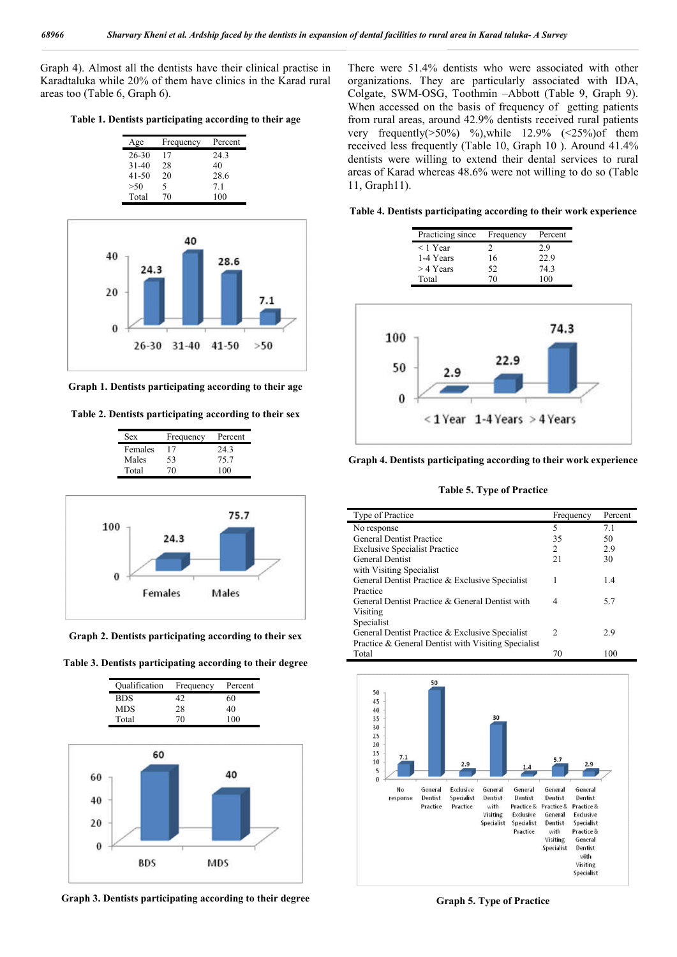Graph 4). Almost all the dentists have their clinical practise in Karadtaluka while 20% of them have clinics in the Karad rural areas too (Table 6, Graph 6).

**Table 1. Dentists participating according to their age**

| Age       | Frequency | Percent |
|-----------|-----------|---------|
| 26-30     | 17        | 24.3    |
| $31 - 40$ | 28        | 40      |
| 41-50     | 20        | 28.6    |
| >50       | 5         | 71      |
| Total     | 70        | 100     |



**Graph 1. Dentists participating according to their age**

**Table 2. Dentists participating according to their sex**

| Females<br>24.3<br>17<br>Males<br>75.7<br>53 | Percent |
|----------------------------------------------|---------|
|                                              |         |
|                                              |         |
| Total<br>100<br>(1)                          |         |



**Graph 2. Dentists participating according to their sex**





**Graph 3. Dentists participating according to their degree**

There were 51.4% dentists who were associated with other organizations. They are particularly associated with IDA, Colgate, SWM-OSG, Toothmin –Abbott (Table 9, Graph 9). When accessed on the basis of frequency of getting patients from rural areas, around 42.9% dentists received rural patients very frequently( $>50\%$ ) %),while 12.9% ( $<25\%$ )of them received less frequently (Table 10, Graph 10 ). Around 41.4% dentists were willing to extend their dental services to rural areas of Karad whereas 48.6% were not willing to do so (Table 11, Graph11).

**Table 4. Dentists participating according to their work experience**

| Practicing since | Frequency | Percent |
|------------------|-----------|---------|
| $<$ 1 Year       | 7         | 2.9     |
| 1-4 Years        | 16        | 22.9    |
| $>$ 4 Years      | 52        | 74.3    |
| Total            | 70        | 100     |



**Graph 4. Dentists participating according to their work experience**

**Table 5. Type of Practice**

| Type of Practice                                    | Frequency      | Percent |
|-----------------------------------------------------|----------------|---------|
| No response                                         | 5              | 7.1     |
| <b>General Dentist Practice</b>                     | 35             | 50      |
| <b>Exclusive Specialist Practice</b>                | $\mathfrak{D}$ | 2.9     |
| <b>General Dentist</b>                              | 21             | 30      |
| with Visiting Specialist                            |                |         |
| General Dentist Practice & Exclusive Specialist     | 1              | 1.4     |
| Practice                                            |                |         |
| General Dentist Practice & General Dentist with     | 4              | 5.7     |
| Visiting                                            |                |         |
| Specialist                                          |                |         |
| General Dentist Practice & Exclusive Specialist     | 2              | 2.9     |
| Practice & General Dentist with Visiting Specialist |                |         |
| Total                                               | 70             | 100     |



**Graph 5. Type of Practice**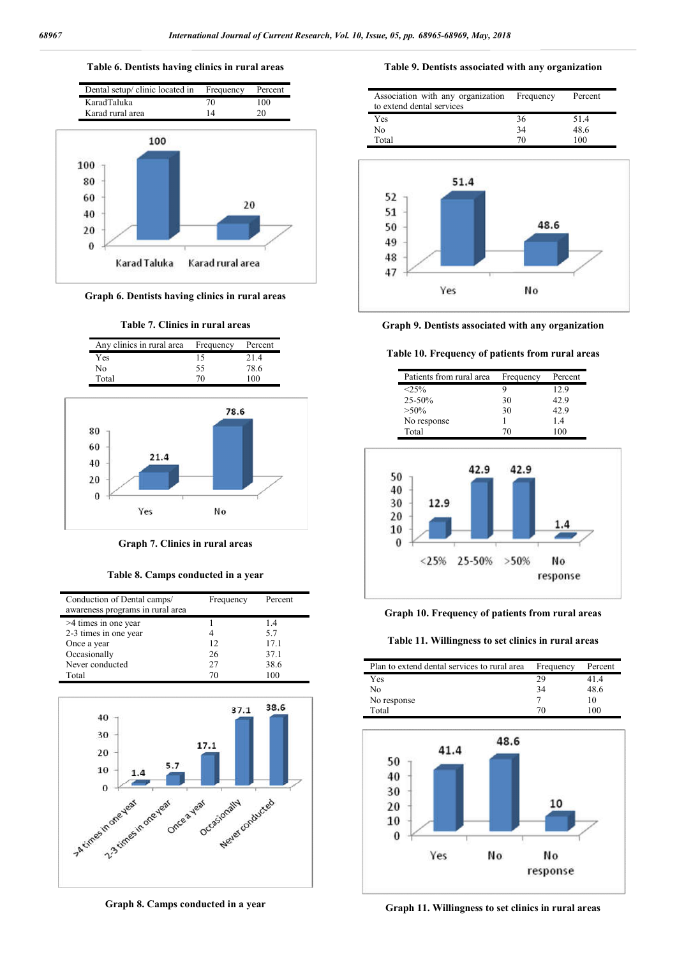### **Table 6. Dentists having clinics in rural areas**



**Graph 6. Dentists having clinics in rural areas**





**Graph 7. Clinics in rural areas**

**Table 8. Camps conducted in a year**

| Conduction of Dental camps/<br>awareness programs in rural area | Frequency | Percent |
|-----------------------------------------------------------------|-----------|---------|
| >4 times in one year                                            |           | 1.4     |
| 2-3 times in one year                                           |           | 5.7     |
| Once a year                                                     | 12        | 17.1    |
| Occasionally                                                    | 26        | 37.1    |
| Never conducted                                                 | 27        | 38.6    |
| Total                                                           | 70        | 100     |



**Graph 8. Camps conducted in a year**

#### **Table 9. Dentists associated with any organization**

|  | 36 | 51.4 |
|--|----|------|
|  | 34 | 48.6 |
|  | 70 | 100  |
|  |    |      |



**Graph 9. Dentists associated with any organization**

#### **Table 10. Frequency of patients from rural areas**





#### **Graph 10. Frequency of patients from rural areas**

**Table 11. Willingness to set clinics in rural areas**

| Plan to extend dental services to rural area | Frequency | Percent |
|----------------------------------------------|-----------|---------|
| Yes                                          | 29        | 41.4    |
| No                                           | 34        | 48.6    |
| No response                                  |           |         |
| Total                                        | 70        | 100     |



**Graph 11. Willingness to set clinics in rural areas**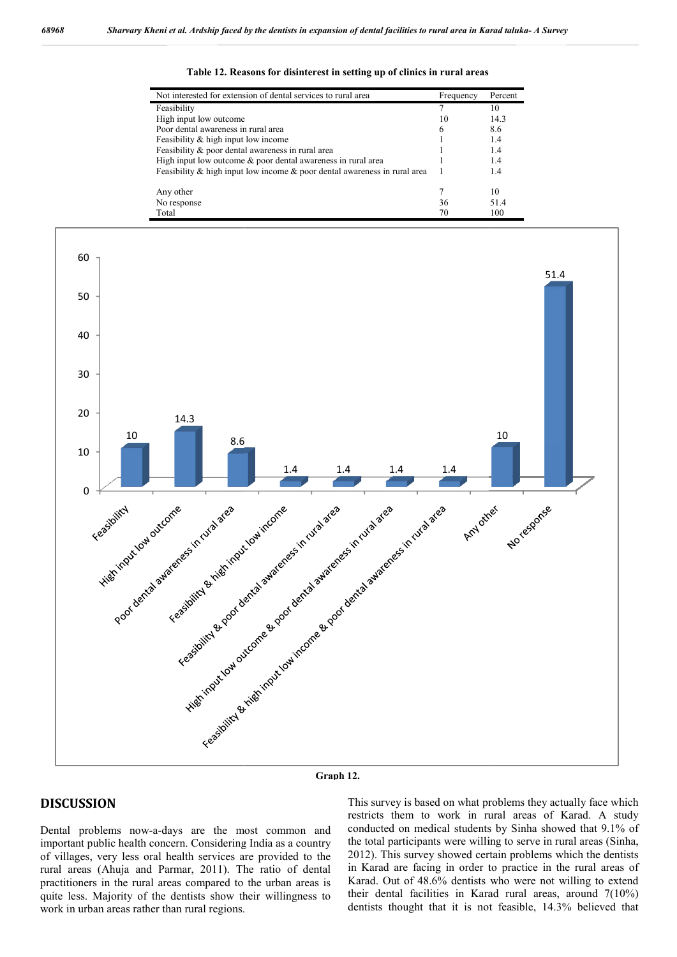| Not interested for extension of dental services to rural area                   | Frequency | Percent |
|---------------------------------------------------------------------------------|-----------|---------|
| Feasibility                                                                     |           | 10      |
| High input low outcome.                                                         | 10        | 14.3    |
| Poor dental awareness in rural area                                             | 6         | 8.6     |
| Feasibility & high input low income                                             |           | 1.4     |
| Feasibility & poor dental awareness in rural area                               |           | 1.4     |
| High input low outcome $\&$ poor dental awareness in rural area                 |           | 1.4     |
| Feasibility $\&$ high input low income $\&$ poor dental awareness in rural area |           | 1.4     |
| Any other                                                                       |           | 10      |
| No response                                                                     | 36        | 514     |
| Total                                                                           | 70        | 100     |







### **DISCUSSION**

Dental problems now-a-days are the most common and important public health concern. Considering India as a country of villages, very less oral health services are provided to the rural areas (Ahuja and Parmar, 2011). The ratio of dental practitioners in the rural areas compared to the urban areas is quite less. Majority of the dentists show their willingness to work in urban areas rather than rural regions.

This survey is based on what problems they actually face which<br>restricts them to work in rural areas of Karad. A study<br>conducted on medical students by Sinha showed that 9.1% of<br>the total participants were willing to serve This survey is based on what problems they actually face which restricts them to work in rural areas of Karad. A study conducted on medical students by Sinha showed that 9.1% of conducted on medical students by Sinha showed that 9.1% of the total participants were willing to serve in rural areas (Sinha, 2012). This survey showed certain problems which the dentists 2012). This survey showed certain problems which the dentists in Karad are facing in order to practice in the rural areas of Karad. Out of 48.6% dentists who were not willing to extend their dental facilities in Karad rural areas, around 7(10%) dentists thought that it is not feasible, 14.3% believed that